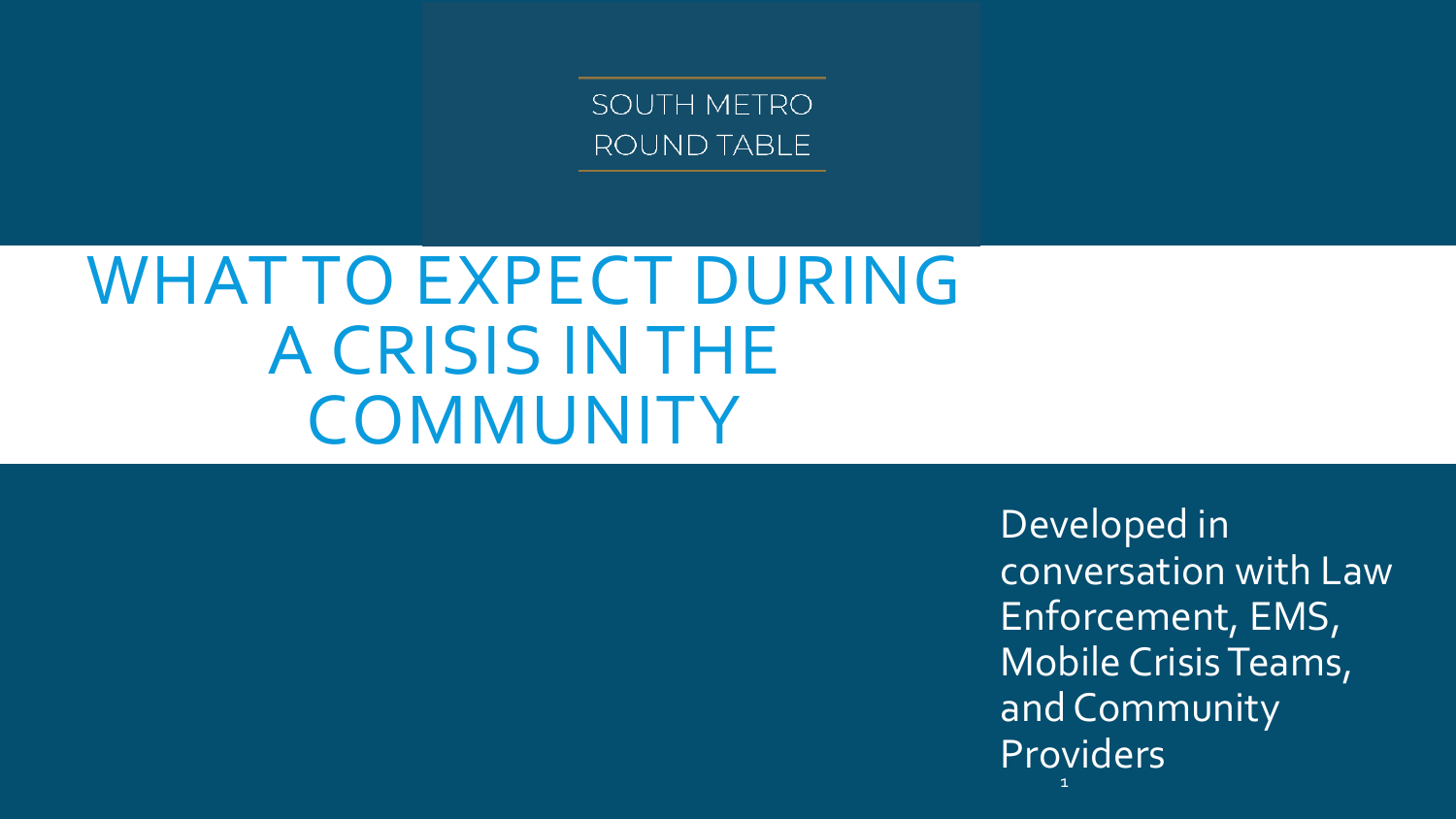SOUTH METRO ROUND TABLE

### WHAT TO EXPECT DURING A CRISIS IN THE **COMMUNITY**

Developed in conversation with Law Enforcement, EMS, Mobile Crisis Teams, and Community Providers 1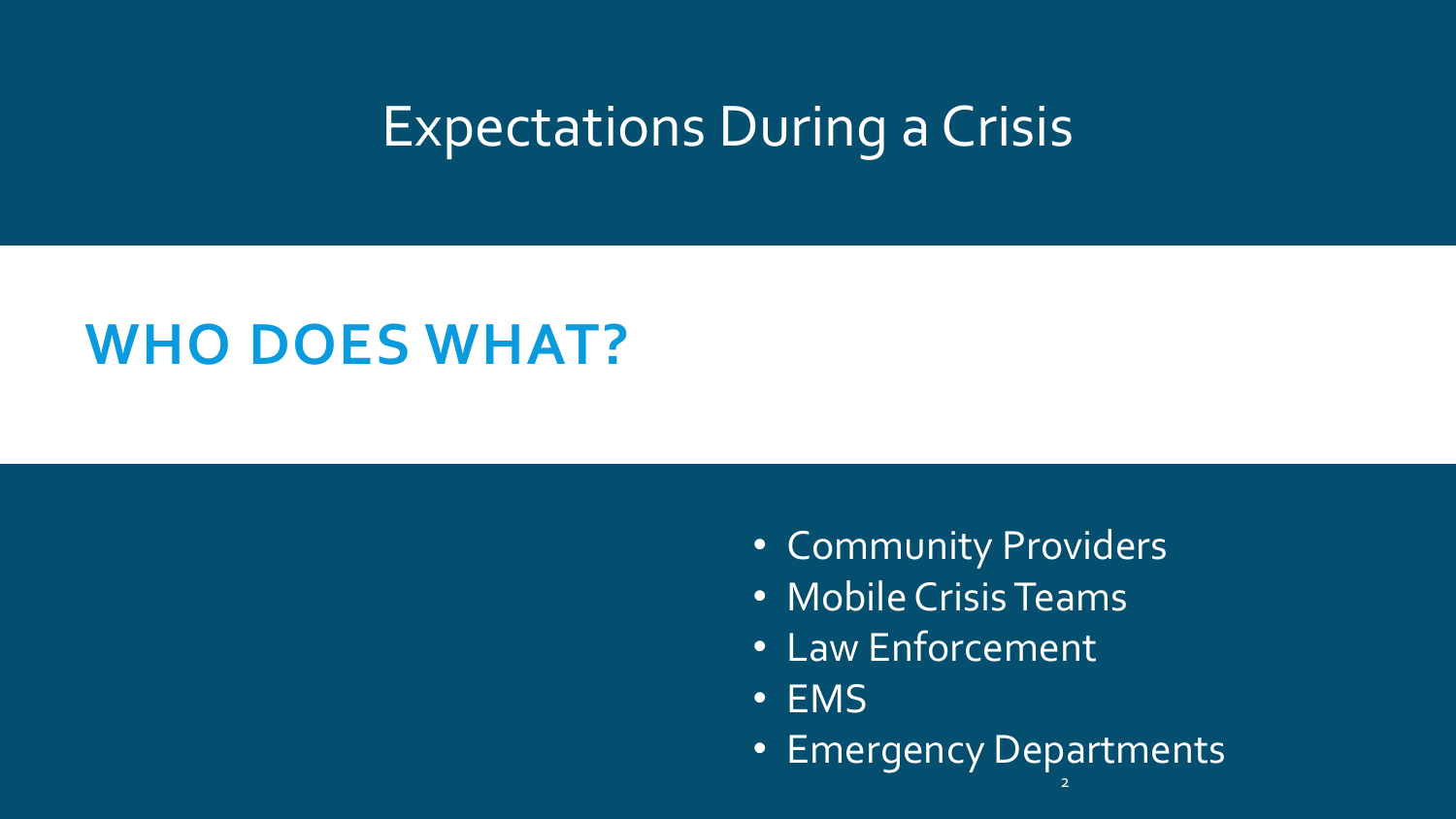#### Expectations During a Crisis

#### **WHO DOES WHAT?**

- Community Providers
- Mobile Crisis Teams
- Law Enforcement
- EMS
- 2 • Emergency Departments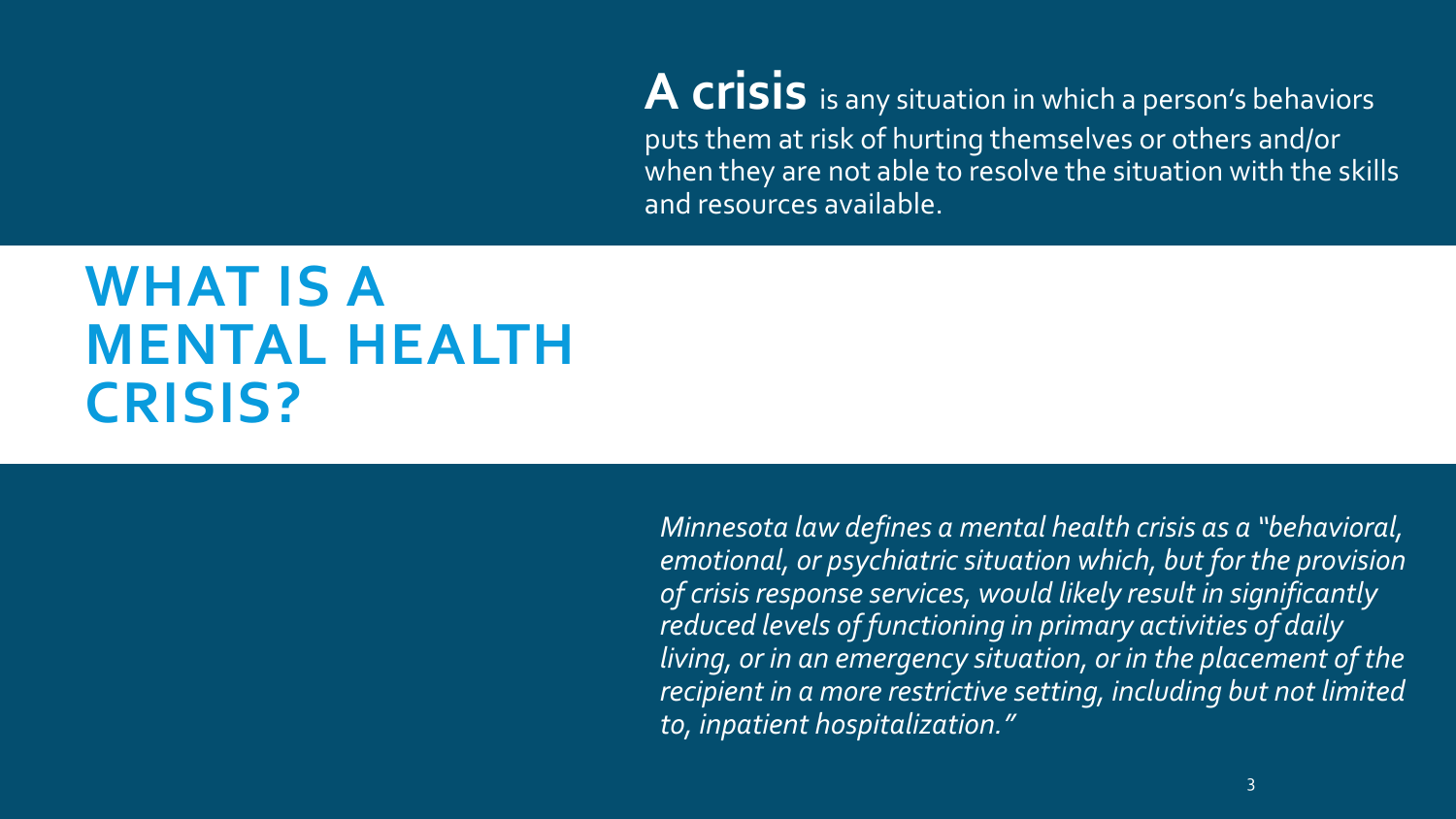A crisis is any situation in which a person's behaviors puts them at risk of hurting themselves or others and/or when they are not able to resolve the situation with the skills and resources available.

#### **WHAT IS A MENTAL HEALTH CRISIS?**

*Minnesota law defines a mental health crisis as a "behavioral, emotional, or psychiatric situation which, but for the provision of crisis response services, would likely result in significantly reduced levels of functioning in primary activities of daily living, or in an emergency situation, or in the placement of the recipient in a more restrictive setting, including but not limited to, inpatient hospitalization."*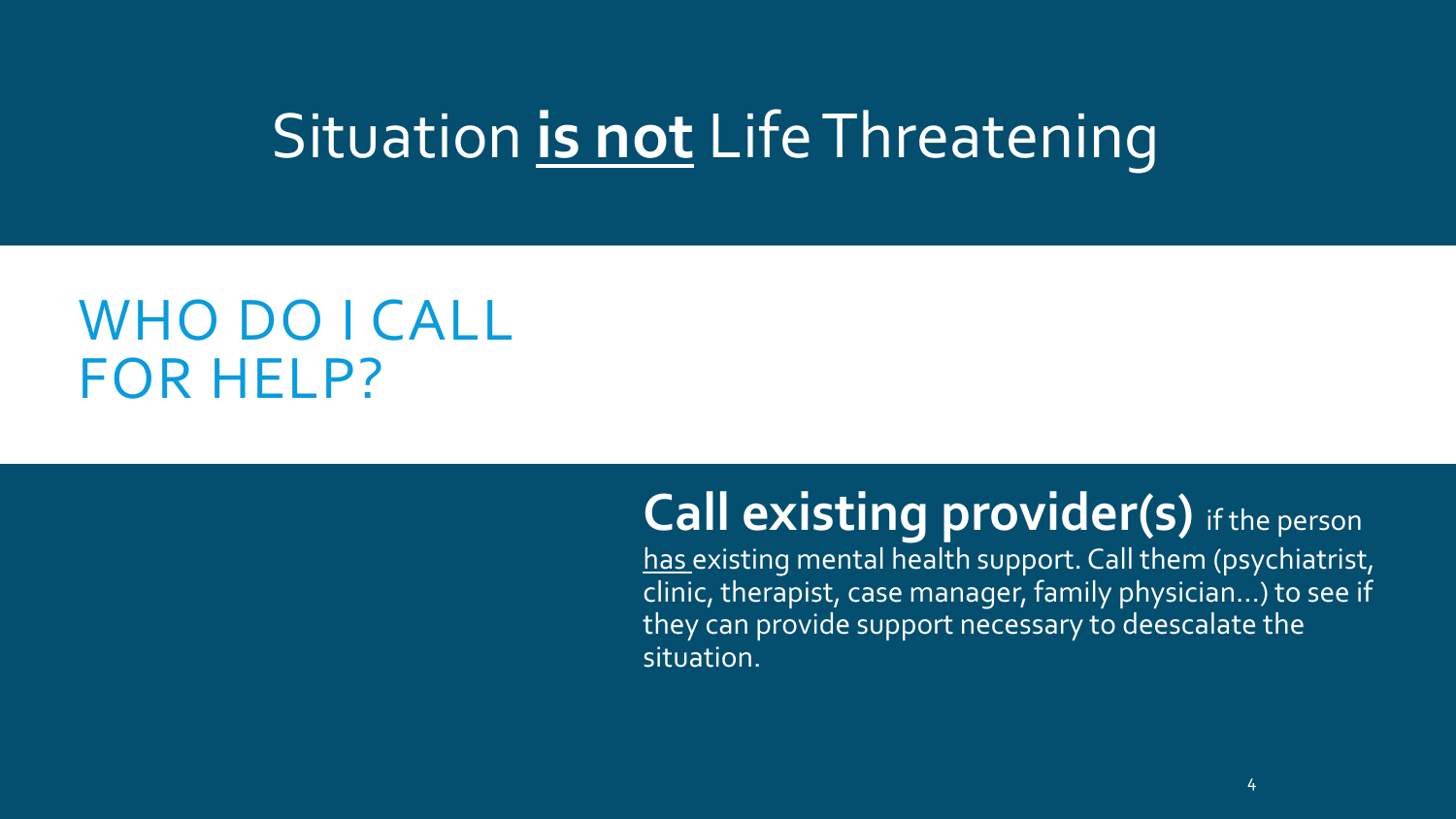### Situation **is not** Life Threatening

#### WHO DO I CALL FOR HELP?

#### **Call existing provider(s)** if the person

has existing mental health support. Call them (psychiatrist, clinic, therapist, case manager, family physician…) to see if they can provide support necessary to deescalate the situation.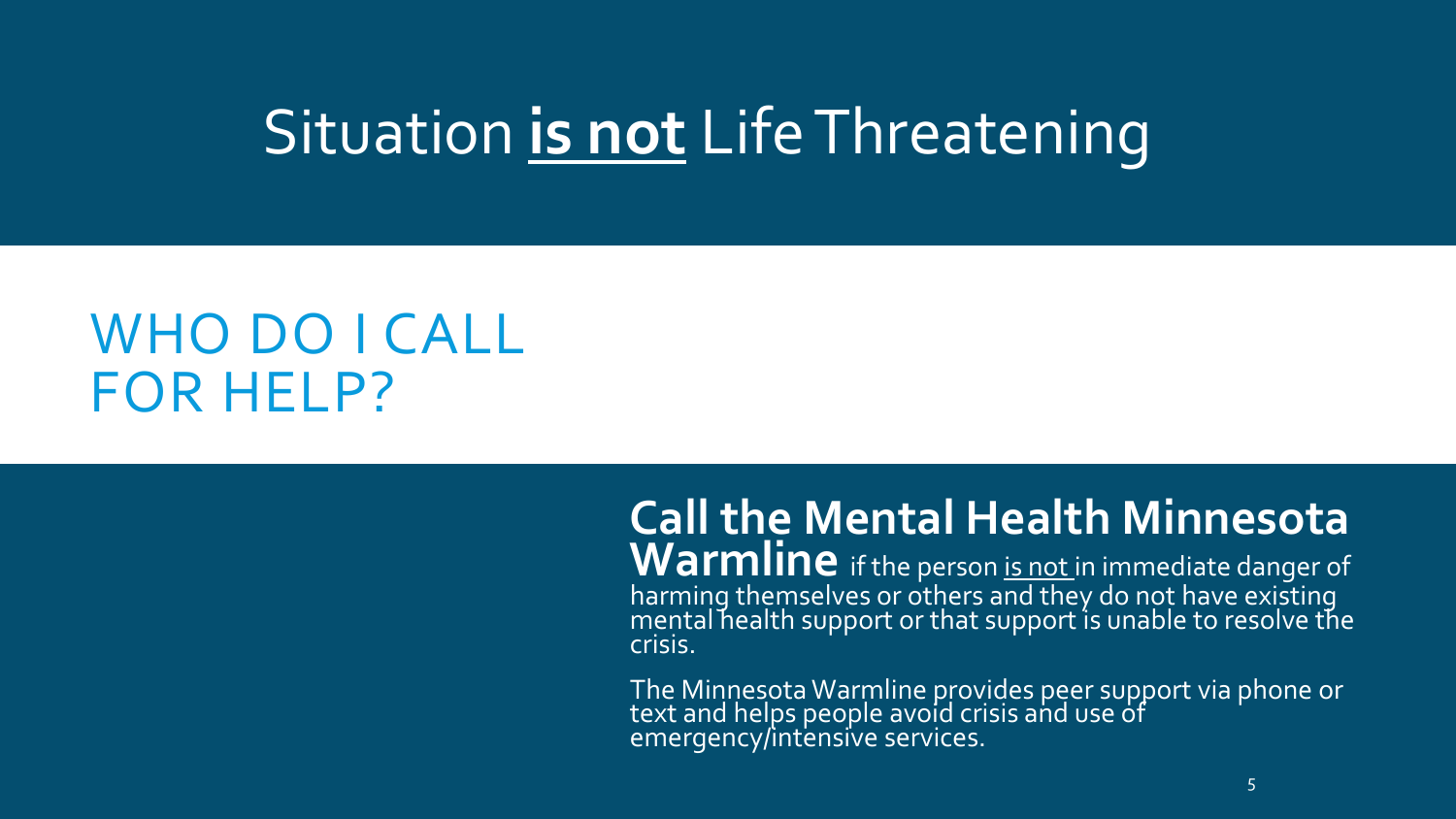### Situation **is not** Life Threatening

#### WHO DO I CALL FOR HELP?

#### **Call the Mental Health Minnesota**

Warmline if the person is not in immediate danger of harming themselves or others and they do not have existing mental health support or that support is unable to resolve the crisis.

The Minnesota Warmline provides peer support via phone or text and helps people avoid crisis and use of emergency/intensive services.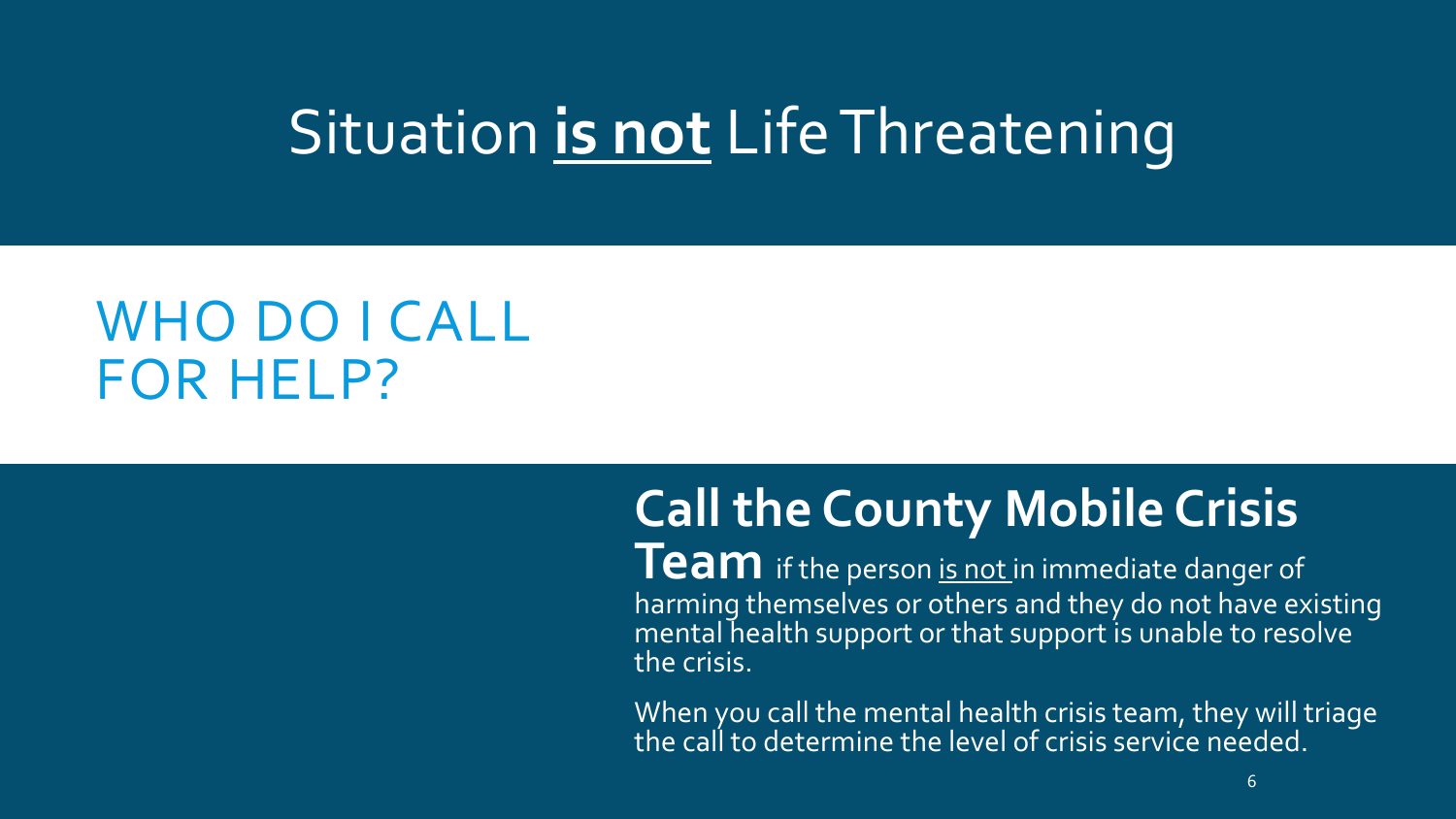### Situation **is not** Life Threatening

#### WHO DO I CALL FOR HELP?

#### **Call the County Mobile Crisis**

**Team** if the person is not in immediate danger of harming themselves or others and they do not have existing mental health support or that support is unable to resolve the crisis.

When you call the mental health crisis team, they will triage the call to determine the level of crisis service needed.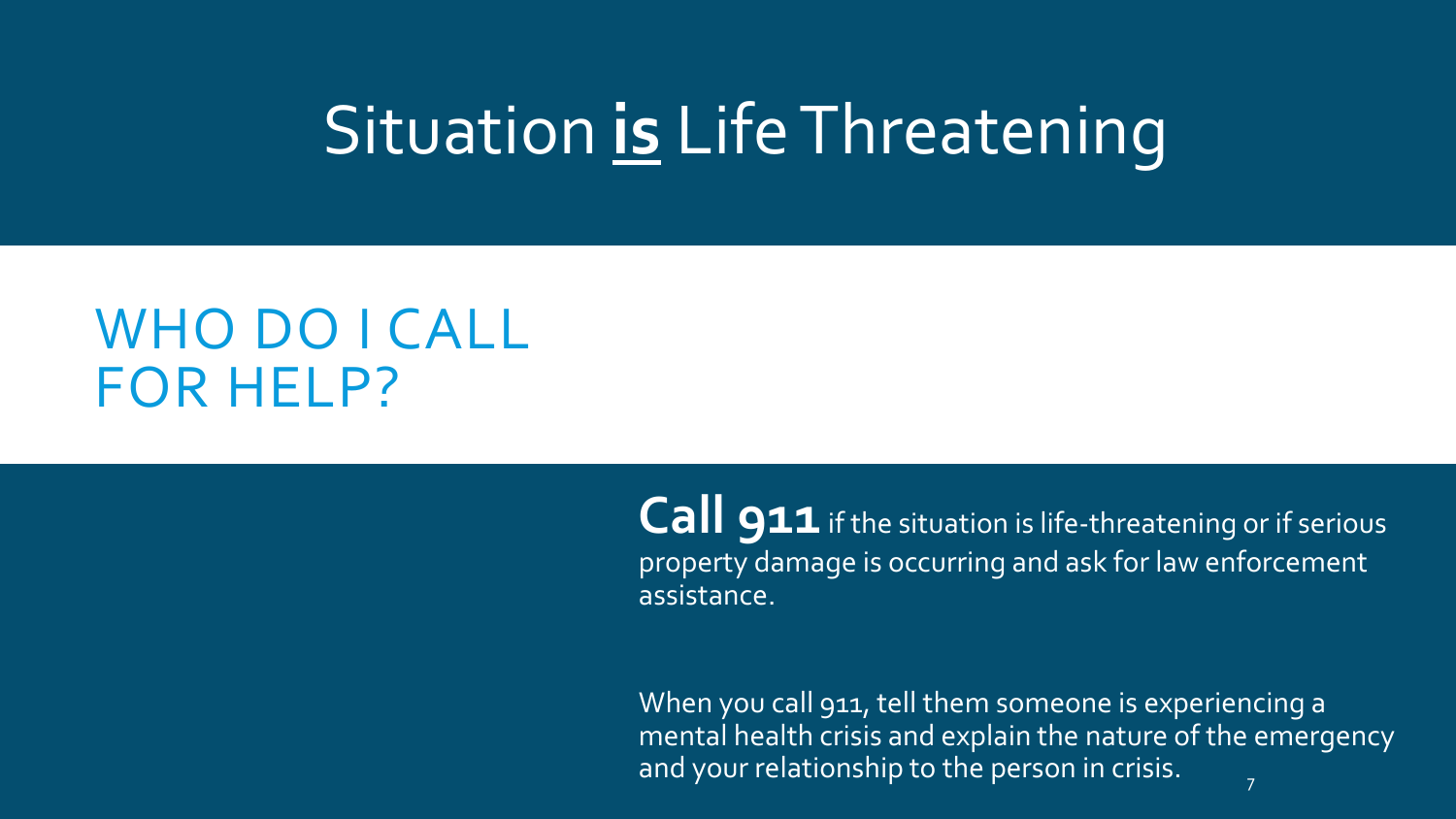### Situation **is** Life Threatening

#### WHO DO I CALL FOR HELP?

Call 911 if the situation is life-threatening or if serious property damage is occurring and ask for law enforcement assistance.

When you call 911, tell them someone is experiencing a mental health crisis and explain the nature of the emergency and your relationship to the person in crisis. 7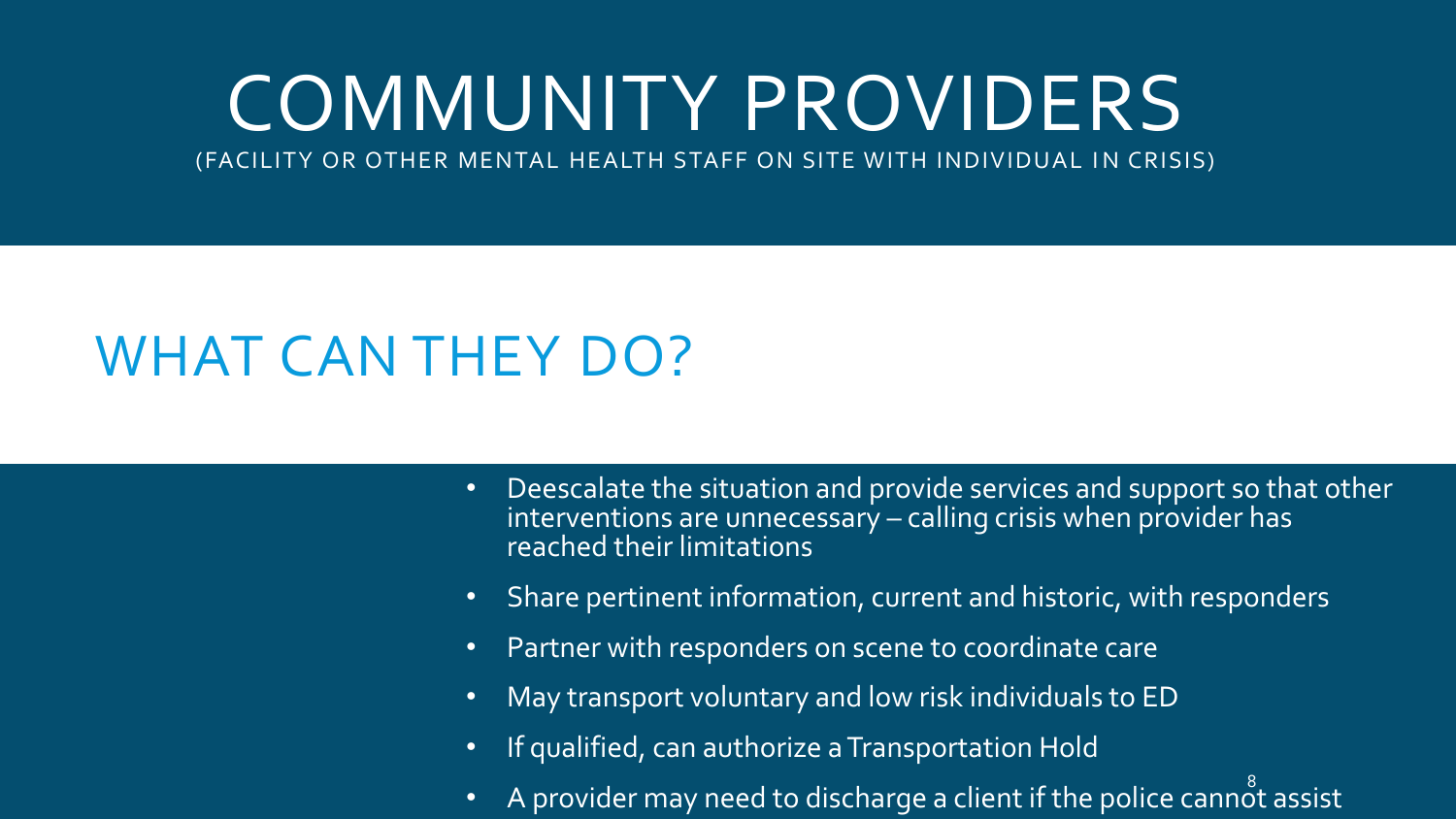# COMMUNITY PROVIDERS

(FACILITY OR OTHER MENTAL HEALTH STAFF ON SITE WITH INDIVIDUAL IN CRISIS)

- Deescalate the situation and provide services and support so that other interventions are unnecessary – calling crisis when provider has reached their limitations
- Share pertinent information, current and historic, with responders
- Partner with responders on scene to coordinate care
- May transport voluntary and low risk individuals to ED
- If qualified, can authorize a Transportation Hold
- $\overline{A}$  provider may need to discharge a client if the police cannot assist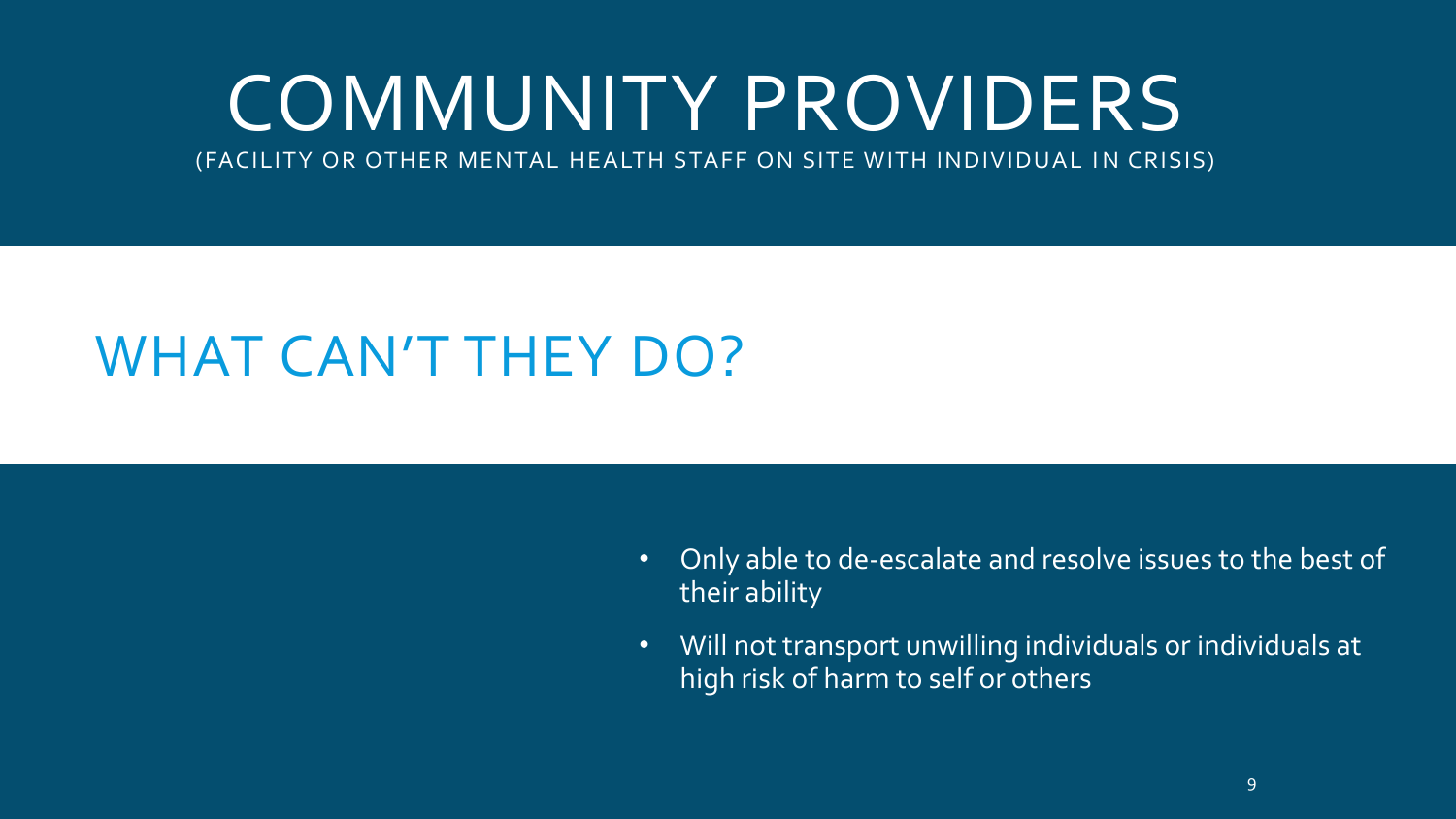# COMMUNITY PROVIDERS

(FACILITY OR OTHER MENTAL HEALTH STAFF ON SITE WITH INDIVIDUAL IN CRISIS)

- Only able to de-escalate and resolve issues to the best of their ability
- Will not transport unwilling individuals or individuals at high risk of harm to self or others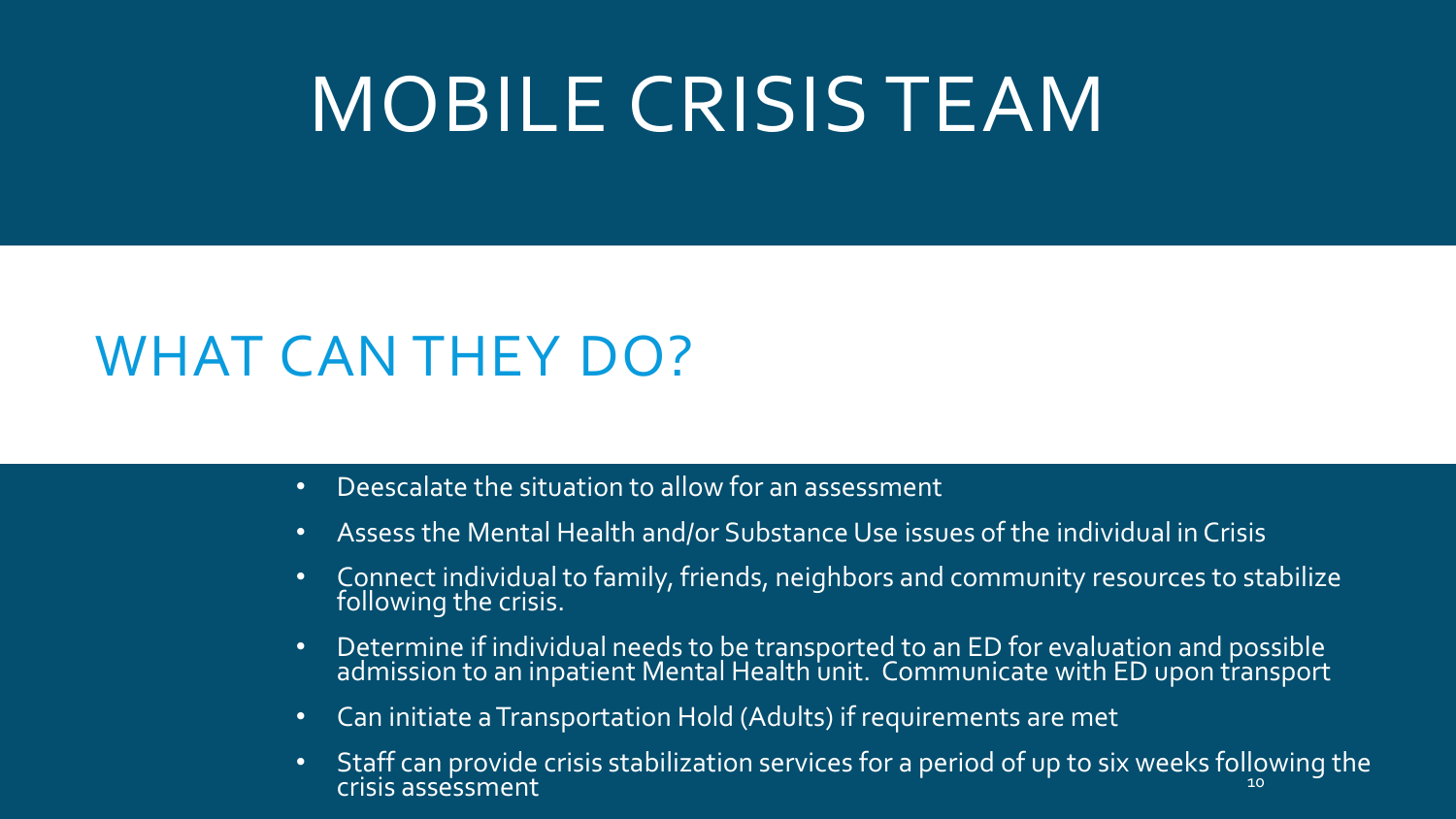# MOBILE CRISIS TEAM

- Deescalate the situation to allow for an assessment
- Assess the Mental Health and/or Substance Use issues of the individual in Crisis
- Connect individual to family, friends, neighbors and community resources to stabilize following the crisis.
- Determine if individual needs to be transported to an ED for evaluation and possible admission to an inpatient Mental Health unit. Communicate with ED upon transport
- Can initiate a Transportation Hold (Adults) if requirements are met
- Staff can provide crisis stabilization services for a period of up to six weeks following the crisis assessment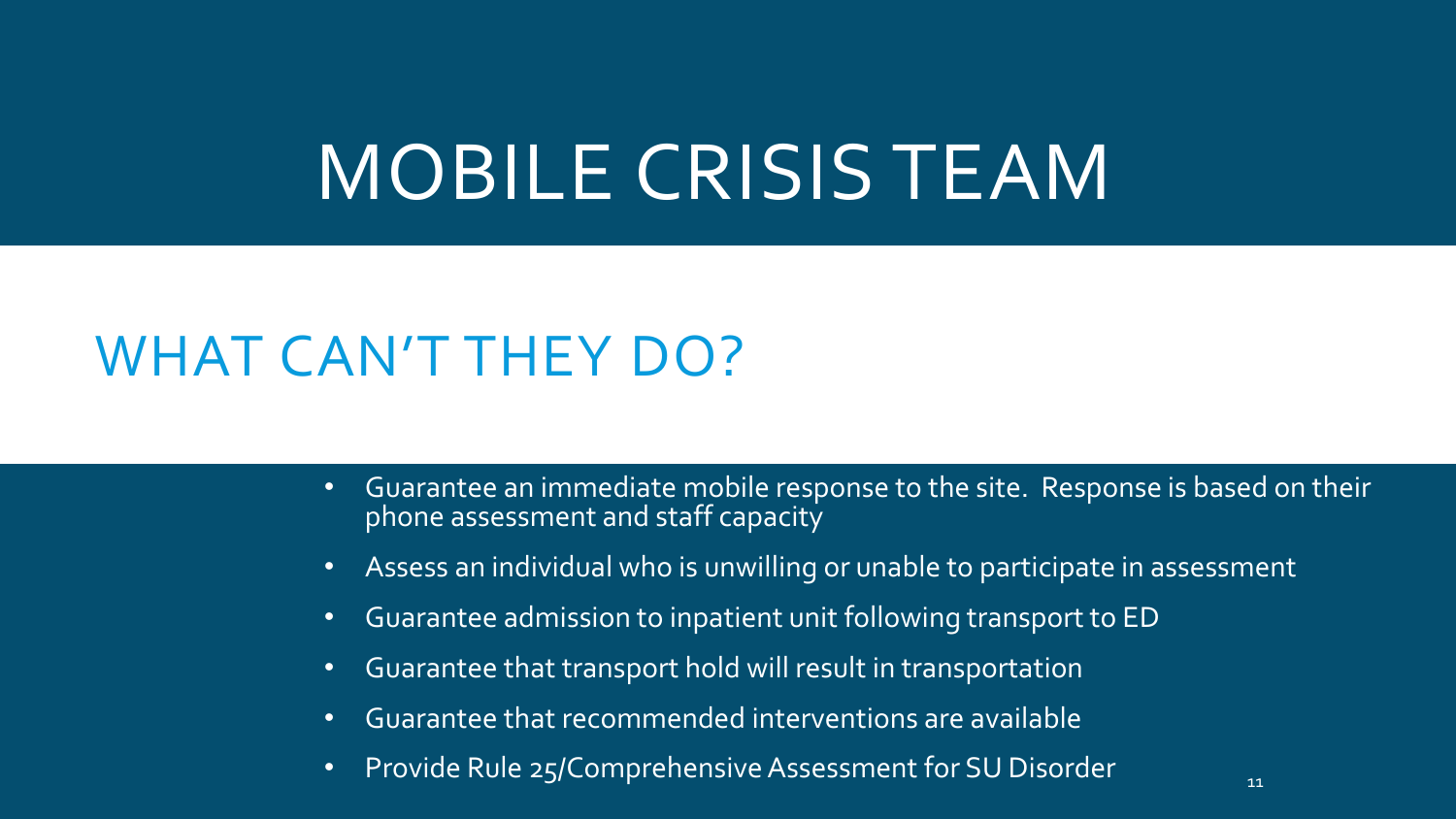## MOBILE CRISIS TEAM

- Guarantee an immediate mobile response to the site. Response is based on their phone assessment and staff capacity
- Assess an individual who is unwilling or unable to participate in assessment
- Guarantee admission to inpatient unit following transport to ED
- Guarantee that transport hold will result in transportation
- Guarantee that recommended interventions are available
- Provide Rule 25/Comprehensive Assessment for SU Disorder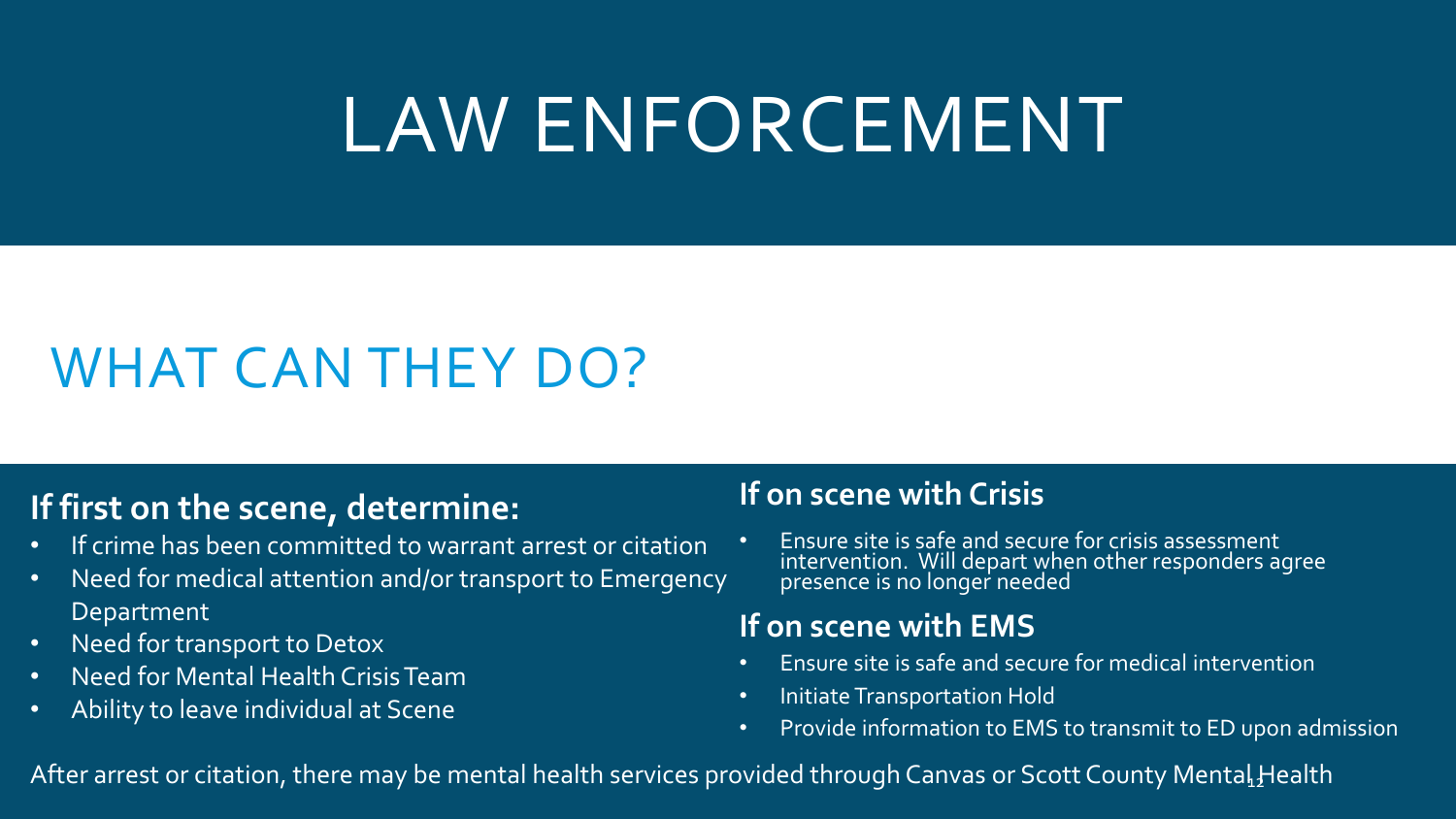# LAW ENFORCEMENT

### WHAT CAN THEY DO?

#### **If first on the scene, determine:**

- If crime has been committed to warrant arrest or citation
- Need for medical attention and/or transport to Emergency Department
- Need for transport to Detox
- Need for Mental Health Crisis Team
- Ability to leave individual at Scene

#### **If on scene with Crisis**

• Ensure site is safe and secure for crisis assessment intervention. Will depart when other responders agree presence is no longer needed

#### **If on scene with EMS**

- Ensure site is safe and secure for medical intervention
- Initiate Transportation Hold
- Provide information to EMS to transmit to ED upon admission

After arrest or citation, there may be mental health services provided through Canvas or Scott County Mental $\rm _1$ Health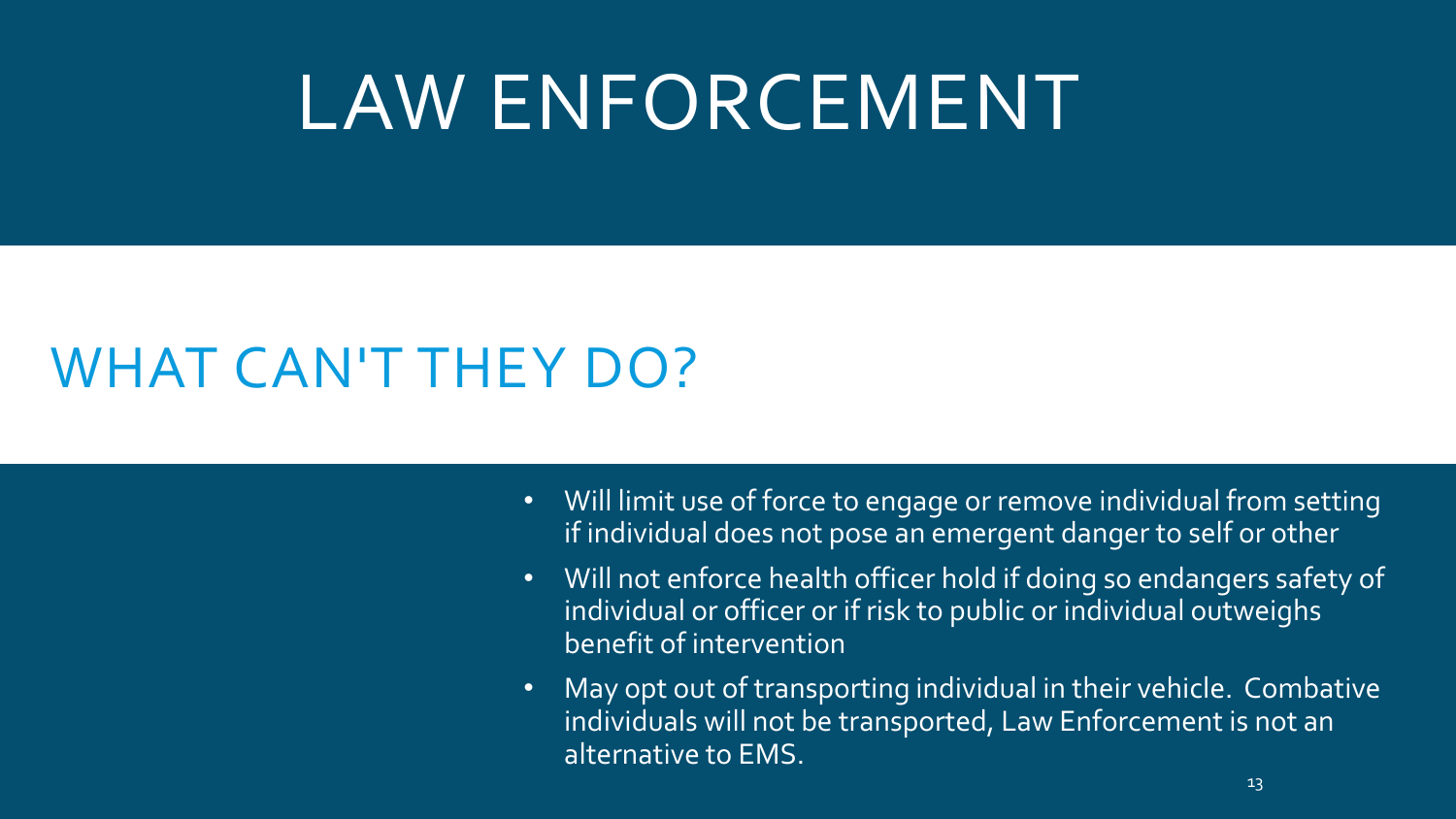# LAW ENFORCEMENT

- Will limit use of force to engage or remove individual from setting if individual does not pose an emergent danger to self or other
- Will not enforce health officer hold if doing so endangers safety of individual or officer or if risk to public or individual outweighs benefit of intervention
- May opt out of transporting individual in their vehicle. Combative individuals will not be transported, Law Enforcement is not an alternative to EMS.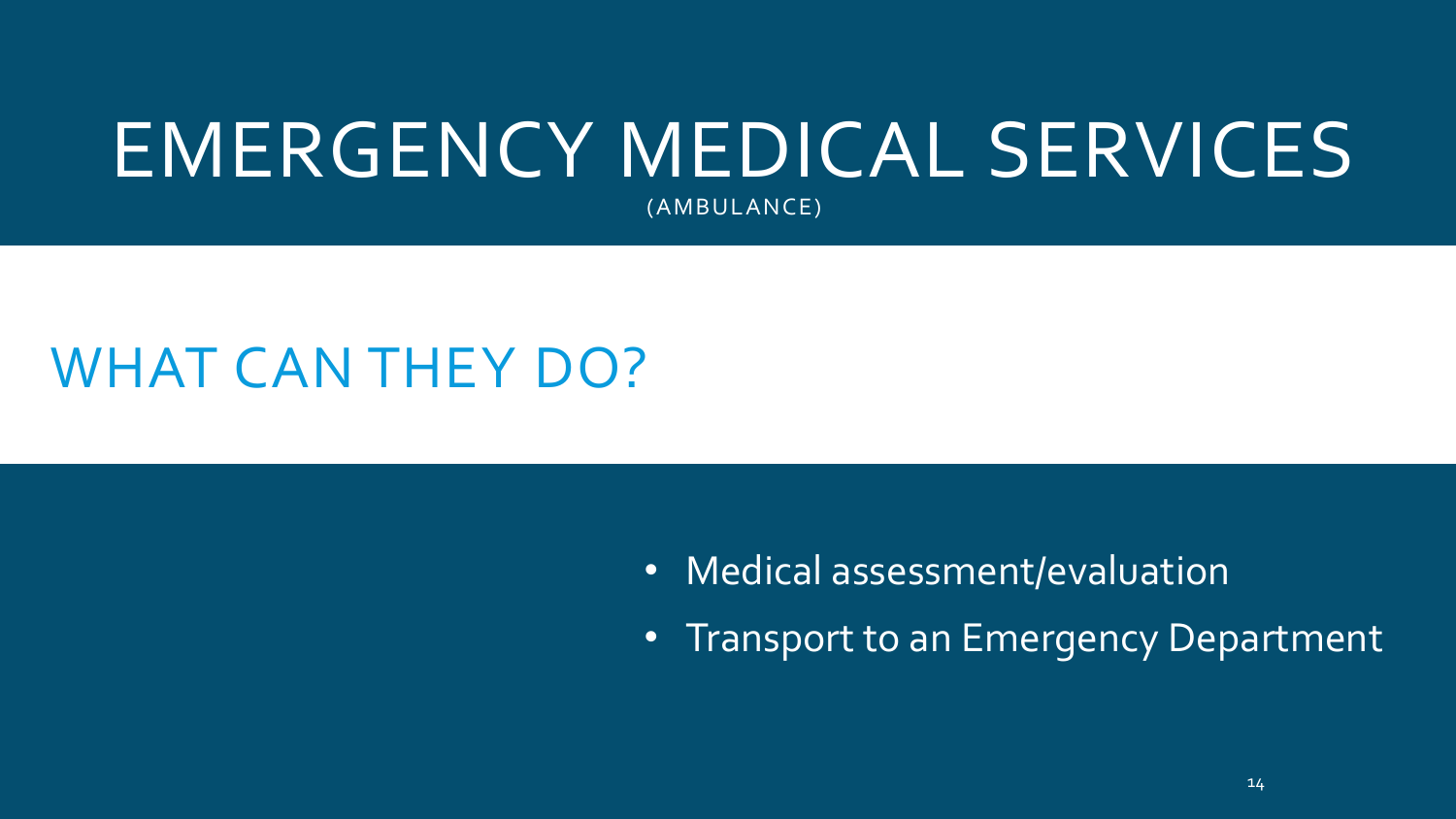# EMERGENCY MEDICAL SERVICES

(AMBULANCE)

- Medical assessment/evaluation
- Transport to an Emergency Department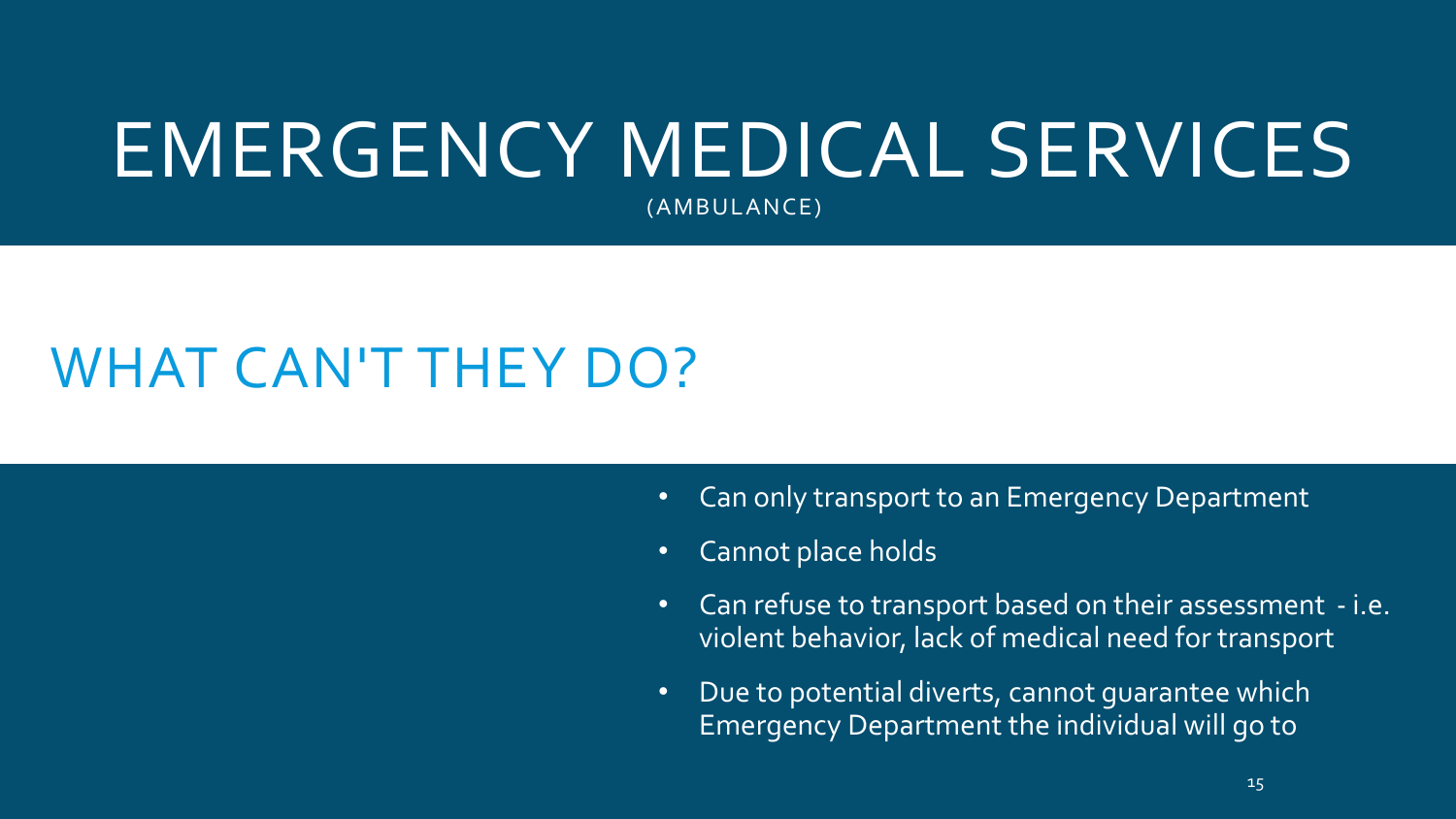# EMERGENCY MEDICAL SERVICES

(AMBULANCE)

- Can only transport to an Emergency Department
- Cannot place holds
- Can refuse to transport based on their assessment i.e. violent behavior, lack of medical need for transport
- Due to potential diverts, cannot guarantee which Emergency Department the individual will go to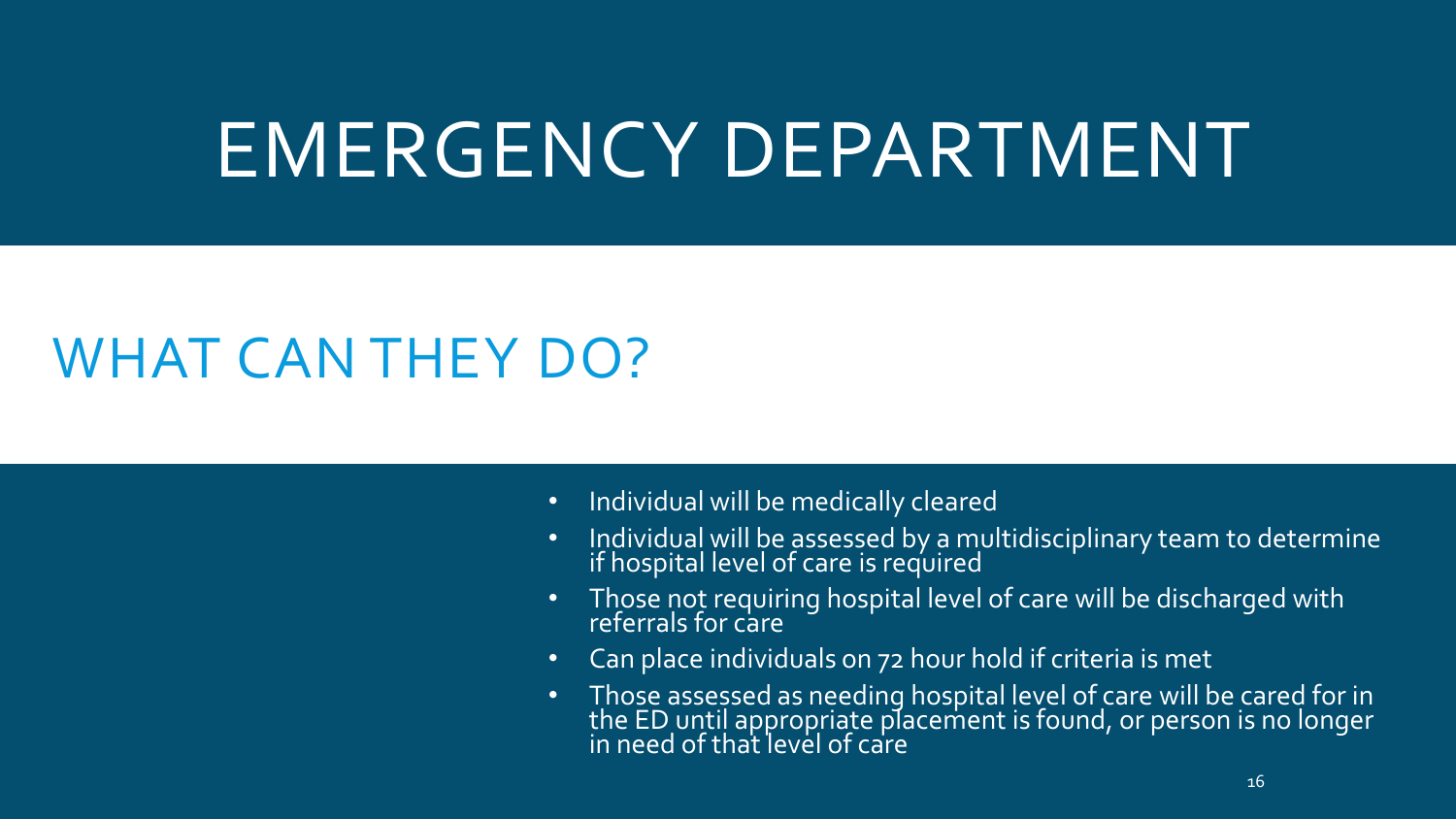## EMERGENCY DEPARTMENT

- Individual will be medically cleared
- Individual will be assessed by a multidisciplinary team to determine if hospital level of care is required
- Those not requiring hospital level of care will be discharged with referrals for care
- Can place individuals on 72 hour hold if criteria is met
- Those assessed as needing hospital level of care will be cared for in the ED until appropriate placement is found, or person is no longer in need of that level of care